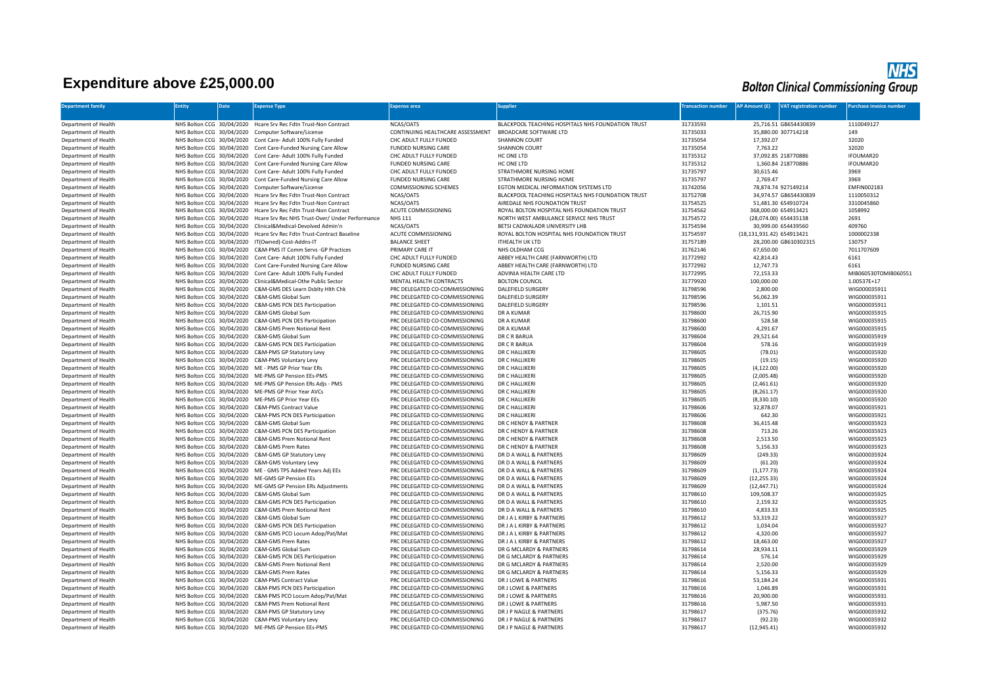## **Expenditure above £25,000.00**

## **NHS**<br>Bolton Clinical Commissioning Group

| <b>Department family</b>                     | Entity | <b>Date</b> | <b>Expense Type</b>                                                                                                           | <b>Expense area</b>                                              | upplier                                                                | ransaction number    | <b>AP Amount (£)</b>      | <b>VAT registration number</b> | urchase invoice number              |
|----------------------------------------------|--------|-------------|-------------------------------------------------------------------------------------------------------------------------------|------------------------------------------------------------------|------------------------------------------------------------------------|----------------------|---------------------------|--------------------------------|-------------------------------------|
|                                              |        |             |                                                                                                                               |                                                                  |                                                                        |                      |                           |                                |                                     |
| Department of Health                         |        |             | NHS Bolton CCG 30/04/2020 Hcare Srv Rec Fdtn Trust-Non Contract                                                               | NCAS/OATS                                                        | BLACKPOOL TEACHING HOSPITALS NHS FOUNDATION TRUST                      | 31733593             |                           | 25,716.51 GB654430839          | 1110049127                          |
| Department of Health                         |        |             | NHS Bolton CCG 30/04/2020 Computer Software/License                                                                           | CONTINUING HEALTHCARE ASSESSMENT                                 | BROADCARE SOFTWARE LTD                                                 | 31735033             |                           | 35,880.00 307714218            | 149                                 |
| Department of Health                         |        |             | NHS Bolton CCG 30/04/2020 Cont Care- Adult 100% Fully Funded                                                                  | CHC ADULT FULLY FUNDED                                           | <b>SHANNON COURT</b>                                                   | 31735054             | 17,392.07                 |                                | 32020                               |
| Department of Health                         |        |             | NHS Bolton CCG 30/04/2020 Cont Care-Funded Nursing Care Allow                                                                 | <b>FUNDED NURSING CARE</b>                                       | <b>SHANNON COURT</b>                                                   | 31735054             | 7,763.22                  |                                | 32020                               |
| Department of Health                         |        |             | NHS Bolton CCG 30/04/2020 Cont Care- Adult 100% Fully Funded                                                                  | CHC ADULT FULLY FUNDED                                           | HC ONE LTD                                                             | 31735312             |                           | 37,092.85 218770886            | IFOUMAR20                           |
| Department of Health                         |        |             | NHS Bolton CCG 30/04/2020 Cont Care-Funded Nursing Care Allow                                                                 | <b>FUNDED NURSING CARE</b>                                       | HC ONE LTD                                                             | 31735312             |                           | 1,360.84 218770886             | IFOUMAR20                           |
| Department of Health                         |        |             | NHS Bolton CCG 30/04/2020 Cont Care- Adult 100% Fully Funded                                                                  | CHC ADULT FULLY FUNDED                                           | STRATHMORE NURSING HOME                                                | 31735797             | 30,615.46                 |                                | 3969                                |
| Department of Health                         |        |             | NHS Bolton CCG 30/04/2020 Cont Care-Funded Nursing Care Allow                                                                 | <b>FUNDED NURSING CARE</b>                                       | STRATHMORE NURSING HOME                                                | 31735797             | 2,769.47                  |                                | 3969                                |
| Department of Health                         |        |             | NHS Bolton CCG 30/04/2020 Computer Software/License                                                                           | <b>COMMISSIONING SCHEMES</b>                                     | EGTON MEDICAL INFORMATION SYSTEMS LTD                                  | 31742056             |                           | 78,874.74 927149214            | <b>EMFIN002183</b>                  |
| Department of Health                         |        |             | NHS Bolton CCG 30/04/2020 Hcare Srv Rec Fdtn Trust-Non Contract                                                               | NCAS/OATS                                                        | BLACKPOOL TEACHING HOSPITALS NHS FOUNDATION TRUST                      | 31752708             |                           | 34.974.57 GB654430839          | 1110050312                          |
| Department of Health                         |        |             | NHS Bolton CCG 30/04/2020 Hcare Srv Rec Fdtn Trust-Non Contract                                                               | NCAS/OATS                                                        | AIREDALE NHS FOUNDATION TRUST                                          | 31754525             |                           | 51,481.30 654910724            | 3310045860                          |
| Department of Health                         |        |             | NHS Bolton CCG 30/04/2020 Hcare Srv Rec Fdtn Trust-Non Contract                                                               | ACUTE COMMISSIONING                                              | ROYAL BOLTON HOSPITAL NHS FOUNDATION TRUST                             | 31754562             |                           | 368,000.00 654913421           | 1058992                             |
| Department of Health                         |        |             | NHS Bolton CCG 30/04/2020 Hcare Srv Rec NHS Trust-Over/ Under Performance                                                     | <b>NHS 111</b>                                                   | NORTH WEST AMBULANCE SERVICE NHS TRUST                                 | 31754572             |                           | (28,074.00) 654435138          | 2691                                |
| Department of Health                         |        |             | NHS Bolton CCG 30/04/2020 Clinical&Medical-Devolved Admin'n                                                                   | NCAS/OATS                                                        | BETSI CADWALADR UNIVERSITY LHB                                         | 31754594             |                           | 30,999.00 654439560            | 409760                              |
| Department of Health                         |        |             | NHS Bolton CCG 30/04/2020 Hcare Srv Rec Fdtn Trust-Contract Baseline                                                          | ACUTE COMMISSIONING                                              | ROYAL BOLTON HOSPITAL NHS FOUNDATION TRUST                             | 31754597             | (18,131,931.42) 654913421 |                                | 1000002338                          |
| Department of Health                         |        |             | NHS Bolton CCG 30/04/2020 IT(Owned)-Cost-Addns-IT                                                                             | <b>BALANCE SHEET</b>                                             | ITHEALTH UK LTD                                                        | 31757189             |                           | 28,200.00 GB610302315          | 130757                              |
| Department of Health                         |        |             | NHS Bolton CCG 30/04/2020 C&M-PMS IT Comm Servs -GP Practices                                                                 | PRIMARY CARE IT                                                  | NHS OLDHAM CCG                                                         | 31762146             | 67,650.00                 |                                | 7011707609                          |
| Department of Health<br>Department of Health |        |             | NHS Bolton CCG 30/04/2020 Cont Care- Adult 100% Fully Funded<br>NHS Bolton CCG 30/04/2020 Cont Care-Funded Nursing Care Allow | CHC ADULT FULLY FUNDED<br><b>FUNDED NURSING CARE</b>             | ABBEY HEALTH CARE (FARNWORTH) LTD<br>ABBEY HEALTH CARE (FARNWORTH) LTD | 31772992<br>31772992 | 42,814.43<br>12.747.73    |                                | 6161<br>6161                        |
|                                              |        |             |                                                                                                                               |                                                                  |                                                                        |                      |                           |                                |                                     |
| Department of Health<br>Department of Health |        |             | NHS Bolton CCG 30/04/2020 Cont Care- Adult 100% Fully Funded<br>NHS Bolton CCG 30/04/2020 Clinical&Medical-Othe Public Sector | CHC ADULT FULLY FUNDED<br>MENTAL HEALTH CONTRACTS                | ADVINIA HEALTH CARE LTD<br><b>BOLTON COUNCIL</b>                       | 31772995<br>31779920 | 72,153.33<br>100,000.00   |                                | MIB060530TOMIB060551<br>1.00537E+17 |
| Department of Health                         |        |             | NHS Bolton CCG 30/04/2020 C&M-GMS DES Learn Dsblty Hlth Chk                                                                   | PRC DELEGATED CO-COMMISSIONING                                   | <b>DALEFIELD SURGERY</b>                                               | 31798596             | 2,800.00                  |                                | WIG000035911                        |
| Department of Health                         |        |             | NHS Bolton CCG 30/04/2020 C&M-GMS Global Sum                                                                                  | PRC DELEGATED CO-COMMISSIONING                                   | DALEFIELD SURGERY                                                      | 31798596             | 56,062.39                 |                                | WIG000035911                        |
| Department of Health                         |        |             | NHS Bolton CCG 30/04/2020 C&M-GMS PCN DES Participation                                                                       | PRC DELEGATED CO-COMMISSIONING                                   | <b>DALEFIELD SURGERY</b>                                               | 31798596             | 1,101.51                  |                                | WIG000035911                        |
| Department of Health                         |        |             | NHS Bolton CCG 30/04/2020 C&M-GMS Global Sum                                                                                  | PRC DELEGATED CO-COMMISSIONING                                   | DR A KUMAR                                                             | 31798600             | 26,715.90                 |                                | WIG000035915                        |
| Department of Health                         |        |             | NHS Bolton CCG 30/04/2020 C&M-GMS PCN DES Participation                                                                       | PRC DELEGATED CO-COMMISSIONING                                   | <b>DR A KUMAR</b>                                                      | 31798600             | 528.58                    |                                | WIG000035915                        |
| Department of Health                         |        |             | NHS Bolton CCG 30/04/2020 C&M-GMS Prem Notional Rent                                                                          | PRC DELEGATED CO-COMMISSIONING                                   | <b>DR A KUMAR</b>                                                      | 31798600             | 4,291.67                  |                                | WIG000035915                        |
| Department of Health                         |        |             | NHS Bolton CCG 30/04/2020 C&M-GMS Global Sum                                                                                  | PRC DELEGATED CO-COMMISSIONING                                   | DR C R BARUA                                                           | 31798604             | 29,521.64                 |                                | WIG000035919                        |
| Department of Health                         |        |             | NHS Bolton CCG 30/04/2020 C&M-GMS PCN DES Participation                                                                       | PRC DELEGATED CO-COMMISSIONING                                   | DR C R BARUA                                                           | 31798604             | 578.16                    |                                | WIG000035919                        |
| Department of Health                         |        |             | NHS Bolton CCG 30/04/2020 C&M-PMS GP Statutory Levy                                                                           | PRC DELEGATED CO-COMMISSIONING                                   | DR C HALLIKERI                                                         | 31798605             | (78.01)                   |                                | WIG000035920                        |
| Department of Health                         |        |             | NHS Bolton CCG 30/04/2020 C&M-PMS Voluntary Levy                                                                              | PRC DELEGATED CO-COMMISSIONING                                   | DR C HALLIKERI                                                         | 31798605             | (19.15)                   |                                | WIG000035920                        |
| Department of Health                         |        |             | NHS Bolton CCG 30/04/2020 ME - PMS GP Prior Year ERs                                                                          | PRC DELEGATED CO-COMMISSIONING                                   | DR C HALLIKERI                                                         | 31798605             | (4, 122.00)               |                                | WIG000035920                        |
| Department of Health                         |        |             | NHS Bolton CCG 30/04/2020 ME-PMS GP Pension EEs-PMS                                                                           | PRC DELEGATED CO-COMMISSIONING                                   | DR C HALLIKERI                                                         | 31798605             | (2,005.48)                |                                | WIG000035920                        |
| Department of Health                         |        |             | NHS Bolton CCG 30/04/2020 ME-PMS GP Pension ERs Adjs - PMS                                                                    | PRC DELEGATED CO-COMMISSIONING                                   | DR C HALLIKERI                                                         | 31798605             | (2,461.61)                |                                | WIG000035920                        |
| Department of Health                         |        |             | NHS Bolton CCG 30/04/2020 ME-PMS GP Prior Year AVCs                                                                           | PRC DELEGATED CO-COMMISSIONING                                   | DR C HALLIKERI                                                         | 31798605             | (8,261.17)                |                                | WIG000035920                        |
| Department of Health                         |        |             | NHS Bolton CCG 30/04/2020 ME-PMS GP Prior Year EEs                                                                            | PRC DELEGATED CO-COMMISSIONING                                   | DR C HALLIKERI                                                         | 31798605             | (8,330.10)                |                                | WIG000035920                        |
| Department of Health                         |        |             | NHS Bolton CCG 30/04/2020 C&M-PMS Contract Value                                                                              | PRC DELEGATED CO-COMMISSIONING                                   | DR C HALLIKERI                                                         | 31798606             | 32,878.07                 |                                | WIG000035921                        |
| Department of Health                         |        |             | NHS Bolton CCG 30/04/2020 C&M-PMS PCN DES Participation                                                                       | PRC DELEGATED CO-COMMISSIONING                                   | DR C HALLIKERI                                                         | 31798606             | 642.30                    |                                | WIG000035921                        |
| Department of Health                         |        |             | NHS Bolton CCG 30/04/2020 C&M-GMS Global Sum                                                                                  | PRC DELEGATED CO-COMMISSIONING                                   | DR C HENDY & PARTNER                                                   | 31798608             | 36,415.48                 |                                | WIG000035923                        |
| Department of Health                         |        |             | NHS Bolton CCG 30/04/2020 C&M-GMS PCN DES Participation                                                                       | PRC DELEGATED CO-COMMISSIONING                                   | DR C HENDY & PARTNER                                                   | 31798608             | 713.26                    |                                | WIG000035923                        |
| Department of Health                         |        |             | NHS Bolton CCG 30/04/2020 C&M-GMS Prem Notional Rent                                                                          | PRC DELEGATED CO-COMMISSIONING                                   | DR C HENDY & PARTNER<br>DR C HENDY & PARTNER                           | 31798608             | 2,513.50                  |                                | WIG000035923                        |
| Department of Health<br>Department of Health |        |             | NHS Bolton CCG 30/04/2020 C&M-GMS Prem Rates<br>NHS Bolton CCG 30/04/2020 C&M-GMS GP Statutory Levy                           | PRC DELEGATED CO-COMMISSIONING<br>PRC DELEGATED CO-COMMISSIONING | DR D A WALL & PARTNERS                                                 | 31798608<br>31798609 | 5,156.33<br>(249.33)      |                                | WIG000035923<br>WIG000035924        |
| Department of Health                         |        |             | NHS Bolton CCG 30/04/2020 C&M-GMS Voluntary Levy                                                                              | PRC DELEGATED CO-COMMISSIONING                                   | DR D A WALL & PARTNERS                                                 | 31798609             | (61.20)                   |                                | WIG000035924                        |
| Department of Health                         |        |             | NHS Bolton CCG 30/04/2020 ME - GMS TPS Added Years Adj EEs                                                                    | PRC DELEGATED CO-COMMISSIONING                                   | DR D A WALL & PARTNERS                                                 | 31798609             | (1, 177.73)               |                                | WIG000035924                        |
| Department of Health                         |        |             | NHS Bolton CCG 30/04/2020 ME-GMS GP Pension EEs                                                                               | PRC DELEGATED CO-COMMISSIONING                                   | DR D A WALL & PARTNERS                                                 | 31798609             | (12, 255.33)              |                                | WIG000035924                        |
| Department of Health                         |        |             | NHS Bolton CCG 30/04/2020 ME-GMS GP Pension ERs Adjustments                                                                   | PRC DELEGATED CO-COMMISSIONING                                   | DR D A WALL & PARTNERS                                                 | 31798609             | (12, 447.71)              |                                | WIG000035924                        |
| Department of Health                         |        |             | NHS Bolton CCG 30/04/2020 C&M-GMS Global Sum                                                                                  | PRC DELEGATED CO-COMMISSIONING                                   | DR D A WALL & PARTNERS                                                 | 31798610             | 109,508.37                |                                | WIG000035925                        |
| Department of Health                         |        |             | NHS Bolton CCG 30/04/2020 C&M-GMS PCN DES Participation                                                                       | PRC DELEGATED CO-COMMISSIONING                                   | DR D A WALL & PARTNERS                                                 | 31798610             | 2,159.32                  |                                | WIG000035925                        |
| Department of Health                         |        |             | NHS Bolton CCG 30/04/2020 C&M-GMS Prem Notional Rent                                                                          | PRC DELEGATED CO-COMMISSIONING                                   | DR D A WALL & PARTNERS                                                 | 31798610             | 4,833.33                  |                                | WIG000035925                        |
| Department of Health                         |        |             | NHS Bolton CCG 30/04/2020 C&M-GMS Global Sum                                                                                  | PRC DELEGATED CO-COMMISSIONING                                   | DR J A L KIRBY & PARTNERS                                              | 31798612             | 53,319.22                 |                                | WIG000035927                        |
| Department of Health                         |        |             | NHS Bolton CCG 30/04/2020 C&M-GMS PCN DES Participation                                                                       | PRC DELEGATED CO-COMMISSIONING                                   | DR J A L KIRBY & PARTNERS                                              | 31798612             | 1,034.04                  |                                | WIG000035927                        |
| Department of Health                         |        |             | NHS Bolton CCG 30/04/2020 C&M-GMS PCO Locum Adop/Pat/Mat                                                                      | PRC DELEGATED CO-COMMISSIONING                                   | DR J A L KIRBY & PARTNERS                                              | 31798612             | 4,320.00                  |                                | WIG000035927                        |
| Department of Health                         |        |             | NHS Bolton CCG 30/04/2020 C&M-GMS Prem Rates                                                                                  | PRC DELEGATED CO-COMMISSIONING                                   | DR LA LKIRBY & PARTNERS                                                | 31798612             | 18,463.00                 |                                | WIG000035927                        |
| Department of Health                         |        |             | NHS Bolton CCG 30/04/2020 C&M-GMS Global Sum                                                                                  | PRC DELEGATED CO-COMMISSIONING                                   | DR G MCLARDY & PARTNERS                                                | 31798614             | 28,934.11                 |                                | WIG000035929                        |
| Department of Health                         |        |             | NHS Bolton CCG 30/04/2020 C&M-GMS PCN DES Participation                                                                       | PRC DELEGATED CO-COMMISSIONING                                   | DR G MCLARDY & PARTNERS                                                | 31798614             | 576.14                    |                                | WIG000035929                        |
| Department of Health                         |        |             | NHS Bolton CCG 30/04/2020 C&M-GMS Prem Notional Rent                                                                          | PRC DELEGATED CO-COMMISSIONING                                   | DR G MCLARDY & PARTNERS                                                | 31798614             | 2,520.00                  |                                | WIG000035929                        |
| Department of Health                         |        |             | NHS Bolton CCG 30/04/2020 C&M-GMS Prem Rates                                                                                  | PRC DELEGATED CO-COMMISSIONING                                   | DR G MCLARDY & PARTNERS                                                | 31798614             | 5.156.33                  |                                | WIG000035929                        |
| Department of Health                         |        |             | NHS Bolton CCG 30/04/2020 C&M-PMS Contract Value                                                                              | PRC DELEGATED CO-COMMISSIONING                                   | DR J LOWE & PARTNERS                                                   | 31798616             | 53,184.24                 |                                | WIG000035931                        |
| Department of Health                         |        |             | NHS Bolton CCG 30/04/2020 C&M-PMS PCN DES Participation                                                                       | PRC DELEGATED CO-COMMISSIONING                                   | DR J LOWE & PARTNERS                                                   | 31798616             | 1,046.89                  |                                | WIG000035931                        |
| Department of Health                         |        |             | NHS Bolton CCG 30/04/2020 C&M-PMS PCO Locum Adop/Pat/Mat                                                                      | PRC DELEGATED CO-COMMISSIONING                                   | DR J LOWE & PARTNERS                                                   | 31798616             | 20,900.00                 |                                | WIG000035931                        |
| Department of Health                         |        |             | NHS Bolton CCG 30/04/2020 C&M-PMS Prem Notional Rent                                                                          | PRC DELEGATED CO-COMMISSIONING                                   | DR J LOWE & PARTNERS                                                   | 31798616             | 5,987.50                  |                                | WIG000035931                        |
| Department of Health                         |        |             | NHS Bolton CCG 30/04/2020 C&M-PMS GP Statutory Levy                                                                           | PRC DELEGATED CO-COMMISSIONING                                   | DR J P NAGLE & PARTNERS                                                | 31798617             | (375.76)                  |                                | WIG000035932                        |
| Department of Health<br>Department of Health |        |             | NHS Bolton CCG 30/04/2020 C&M-PMS Voluntary Levy<br>NHS Bolton CCG 30/04/2020 ME-PMS GP Pension EEs-PMS                       | PRC DELEGATED CO-COMMISSIONING<br>PRC DELEGATED CO-COMMISSIONING | DR J P NAGLE & PARTNERS<br>DR J P NAGLE & PARTNERS                     | 31798617<br>31798617 | (92.23)<br>(12, 945.41)   |                                | WIG000035932<br>WIG000035932        |
|                                              |        |             |                                                                                                                               |                                                                  |                                                                        |                      |                           |                                |                                     |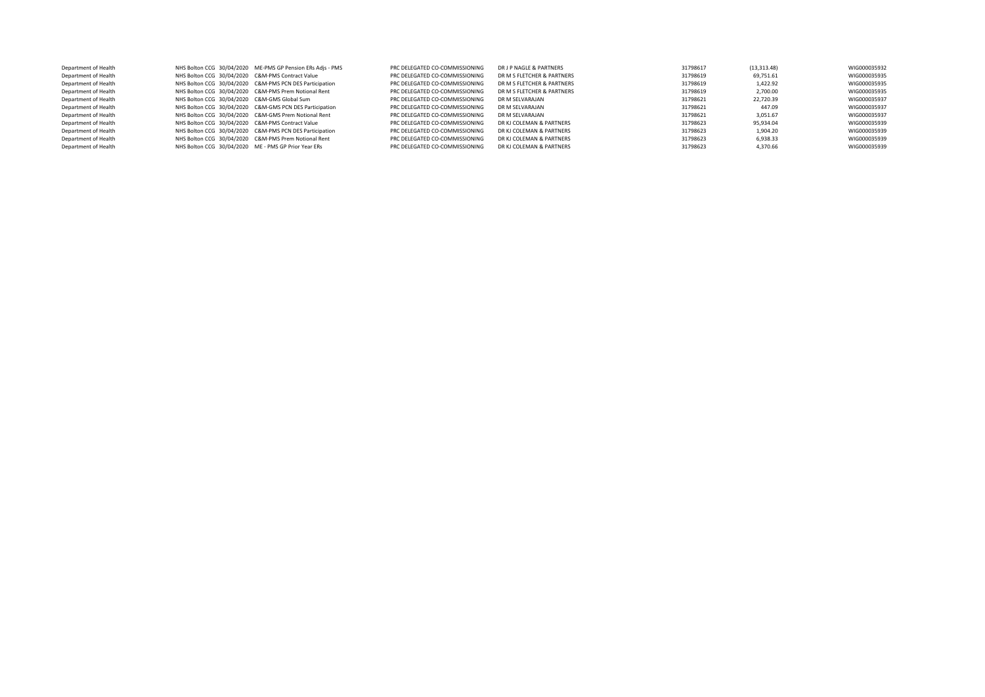| Department of Health |                                                      | NHS Bolton CCG 30/04/2020 ME-PMS GP Pension ERs Adjs - PMS | PRC DELEGATED CO-COMMISSIONING | DR J P NAGLE & PARTNERS    | 31798617 | (13, 313.48) | WIG000035932 |
|----------------------|------------------------------------------------------|------------------------------------------------------------|--------------------------------|----------------------------|----------|--------------|--------------|
| Department of Health | NHS Bolton CCG 30/04/2020 C&M-PMS Contract Value     |                                                            | PRC DELEGATED CO-COMMISSIONING | DR M S FLETCHER & PARTNERS | 31798619 | 69,751.61    | WIG000035935 |
| Department of Health |                                                      | NHS Bolton CCG 30/04/2020 C&M-PMS PCN DES Participation    | PRC DELEGATED CO-COMMISSIONING | DR M S FLETCHER & PARTNERS | 31798619 | 1.422.92     | WIG000035935 |
| Department of Health |                                                      | NHS Bolton CCG 30/04/2020 C&M-PMS Prem Notional Rent       | PRC DELEGATED CO-COMMISSIONING | DR M S FLETCHER & PARTNERS | 31798619 | 2.700.00     | WIG000035935 |
| Department of Health | NHS Bolton CCG 30/04/2020 C&M-GMS Global Sum         |                                                            | PRC DELEGATED CO-COMMISSIONING | DR M SELVARAJAN            | 31798621 | 22.720.39    | WIG000035937 |
| Department of Health |                                                      | NHS Bolton CCG 30/04/2020 C&M-GMS PCN DES Participation    | PRC DELEGATED CO-COMMISSIONING | DR M SELVARAJAN            | 31798621 | 447.09       | WIG000035937 |
| Department of Health |                                                      | NHS Bolton CCG 30/04/2020 C&M-GMS Prem Notional Rent       | PRC DELEGATED CO-COMMISSIONING | DR M SFI VARAIAN           | 31798621 | 3.051.67     | WIG000035937 |
| Department of Health | NHS Bolton CCG 30/04/2020 C&M-PMS Contract Value     |                                                            | PRC DELEGATED CO-COMMISSIONING | DR KJ COLEMAN & PARTNERS   | 31798623 | 95.934.04    | WIG000035939 |
| Department of Health |                                                      | NHS Bolton CCG 30/04/2020 C&M-PMS PCN DES Participation    | PRC DELEGATED CO-COMMISSIONING | DR KJ COLEMAN & PARTNERS   | 31798623 | 1.904.20     | WIG000035939 |
| Department of Health |                                                      | NHS Bolton CCG 30/04/2020 C&M-PMS Prem Notional Rent       | PRC DELEGATED CO-COMMISSIONING | DR KJ COLEMAN & PARTNERS   | 31798623 | 6.938.33     | WIG000035939 |
| Department of Health | NHS Bolton CCG 30/04/2020 ME - PMS GP Prior Year ERs |                                                            | PRC DELEGATED CO-COMMISSIONING | DR KJ COLEMAN & PARTNERS   | 31798623 | 4.370.66     | WIG000035939 |
|                      |                                                      |                                                            |                                |                            |          |              |              |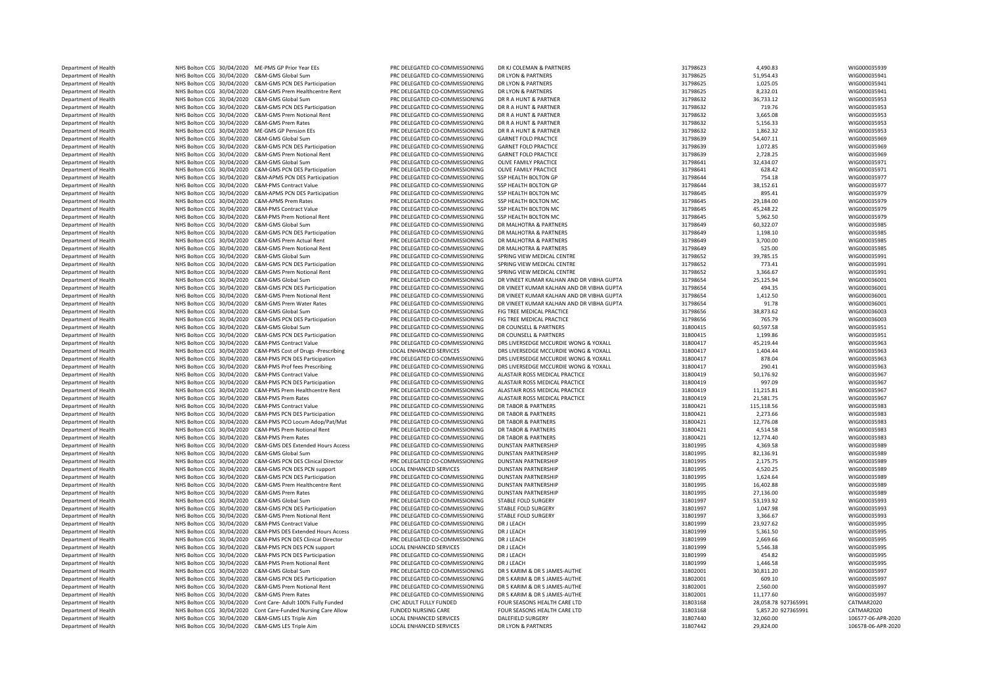| Department of Health | NHS Bolton CCG 30/04/2020 ME-PMS GP Prior Year EEs |                                                               | PRC DELEGATED CO-COMMISSIONING | DR KJ COLEMAN & PARTNERS                  | 31798623 | 4,490.83            | WIG000035939       |
|----------------------|----------------------------------------------------|---------------------------------------------------------------|--------------------------------|-------------------------------------------|----------|---------------------|--------------------|
| Department of Health | NHS Bolton CCG 30/04/2020 C&M-GMS Global Sum       |                                                               | PRC DELEGATED CO-COMMISSIONING | DR LYON & PARTNERS                        | 31798625 | 51,954.43           | WIG000035941       |
| Department of Health |                                                    | NHS Bolton CCG 30/04/2020 C&M-GMS PCN DES Participation       | PRC DELEGATED CO-COMMISSIONING | DR LYON & PARTNERS                        | 31798625 | 1,025.05            | WIG000035941       |
| Department of Health |                                                    | NHS Bolton CCG 30/04/2020 C&M-GMS Prem Healthcentre Rent      | PRC DELEGATED CO-COMMISSIONING | DR I YON & PARTNERS                       | 31798625 | 8,232.01            | WIG000035941       |
|                      |                                                    | C&M-GMS Global Sum                                            |                                |                                           |          |                     |                    |
| Department of Health | NHS Bolton CCG 30/04/2020                          |                                                               | PRC DELEGATED CO-COMMISSIONING | DR R A HUNT & PARTNER                     | 31798632 | 36,733.12           | WIG000035953       |
| Department of Health | NHS Bolton CCG 30/04/2020                          | C&M-GMS PCN DES Participation                                 | PRC DELEGATED CO-COMMISSIONING | DR R A HUNT & PARTNER                     | 31798632 | 719.76              | WIG000035953       |
| Department of Health | NHS Bolton CCG 30/04/2020                          | C&M-GMS Prem Notional Rent                                    | PRC DELEGATED CO-COMMISSIONING | DR R A HUNT & PARTNER                     | 31798632 | 3,665.08            | WIG000035953       |
| Department of Health | NHS Bolton CCG 30/04/2020 C&M-GMS Prem Rates       |                                                               | PRC DELEGATED CO-COMMISSIONING | DR R A HUNT & PARTNER                     | 31798632 | 5,156.33            | WIG000035953       |
| Department of Health | NHS Bolton CCG 30/04/2020 ME-GMS GP Pension EEs    |                                                               | PRC DELEGATED CO-COMMISSIONING | DR R A HUNT & PARTNER                     | 31798632 | 1,862.32            | WIG000035953       |
| Department of Health | NHS Bolton CCG 30/04/2020 C&M-GMS Global Sum       |                                                               | PRC DELEGATED CO-COMMISSIONING | <b>GARNET FOLD PRACTICE</b>               | 31798639 | 54,407.11           | WIG000035969       |
| Department of Health |                                                    | NHS Bolton CCG 30/04/2020 C&M-GMS PCN DES Participation       | PRC DELEGATED CO-COMMISSIONING | <b>GARNET FOLD PRACTICE</b>               | 31798639 | 1,072.85            | WIG000035969       |
| Department of Health |                                                    | NHS Bolton CCG 30/04/2020 C&M-GMS Prem Notional Rent          | PRC DELEGATED CO-COMMISSIONING | <b>GARNET FOLD PRACTICE</b>               | 31798639 | 2,728.25            | WIG000035969       |
| Department of Health | NHS Bolton CCG 30/04/2020 C&M-GMS Global Sum       |                                                               | PRC DELEGATED CO-COMMISSIONING | OLIVE FAMILY PRACTICE                     | 31798641 | 32,434.07           | WIG000035971       |
| Department of Health |                                                    | NHS Bolton CCG 30/04/2020 C&M-GMS PCN DES Participation       | PRC DELEGATED CO-COMMISSIONING | OLIVE FAMILY PRACTICE                     | 31798641 | 628.42              | WIG000035971       |
| Department of Health |                                                    | NHS Bolton CCG 30/04/2020 C&M-APMS PCN DES Participation      | PRC DELEGATED CO-COMMISSIONING | SSP HEALTH BOLTON GP                      | 31798644 | 754.18              | WIG000035977       |
| Department of Health | NHS Bolton CCG 30/04/2020 C&M-PMS Contract Value   |                                                               | PRC DELEGATED CO-COMMISSIONING | SSP HEALTH BOLTON GP                      | 31798644 | 38,152.61           | WIG000035977       |
|                      |                                                    |                                                               |                                |                                           |          |                     |                    |
| Department of Health |                                                    | NHS Bolton CCG 30/04/2020 C&M-APMS PCN DES Participation      | PRC DELEGATED CO-COMMISSIONING | SSP HEALTH BOLTON MC                      | 31798645 | 895.41              | WIG000035979       |
| Department of Health | NHS Bolton CCG 30/04/2020 C&M-APMS Prem Rates      |                                                               | PRC DELEGATED CO-COMMISSIONING | SSP HEALTH BOLTON MC                      | 31798645 | 29,184.00           | WIG000035979       |
| Department of Health | NHS Bolton CCG 30/04/2020                          | C&M-PMS Contract Value                                        | PRC DELEGATED CO-COMMISSIONING | SSP HEALTH BOLTON MC                      | 31798645 | 45,248.22           | WIG000035979       |
| Department of Health |                                                    | NHS Bolton CCG 30/04/2020 C&M-PMS Prem Notional Rent          | PRC DELEGATED CO-COMMISSIONING | SSP HEALTH BOLTON MC                      | 31798645 | 5,962.50            | WIG000035979       |
| Department of Health | NHS Bolton CCG 30/04/2020 C&M-GMS Global Sum       |                                                               | PRC DELEGATED CO-COMMISSIONING | DR MALHOTRA & PARTNERS                    | 31798649 | 60,322.07           | WIG000035985       |
| Department of Health |                                                    | NHS Bolton CCG 30/04/2020 C&M-GMS PCN DES Participation       | PRC DELEGATED CO-COMMISSIONING | DR MALHOTRA & PARTNERS                    | 31798649 | 1,198.10            | WIG000035985       |
| Department of Health | NHS Bolton CCG 30/04/2020                          | C&M-GMS Prem Actual Rent                                      | PRC DELEGATED CO-COMMISSIONING | DR MALHOTRA & PARTNERS                    | 31798649 | 3,700.00            | WIG000035985       |
|                      |                                                    |                                                               |                                |                                           |          |                     |                    |
| Department of Health | NHS Bolton CCG 30/04/2020                          | C&M-GMS Prem Notional Rent                                    | PRC DELEGATED CO-COMMISSIONING | DR MALHOTRA & PARTNERS                    | 31798649 | 525.00              | WIG000035985       |
| Department of Health | NHS Bolton CCG 30/04/2020                          | C&M-GMS Global Sum                                            | PRC DELEGATED CO-COMMISSIONING | SPRING VIEW MEDICAL CENTRE                | 31798652 | 39,785.15           | WIG000035991       |
| Department of Health |                                                    | NHS Bolton CCG 30/04/2020 C&M-GMS PCN DES Participation       | PRC DELEGATED CO-COMMISSIONING | SPRING VIEW MEDICAL CENTRE                | 31798652 | 773.41              | WIG000035991       |
| Department of Health |                                                    | NHS Bolton CCG 30/04/2020 C&M-GMS Prem Notional Rent          | PRC DELEGATED CO-COMMISSIONING | SPRING VIEW MEDICAL CENTRE                | 31798652 | 3,366.67            | WIG000035991       |
| Department of Health | NHS Bolton CCG 30/04/2020 C&M-GMS Global Sum       |                                                               | PRC DELEGATED CO-COMMISSIONING | DR VINEET KUMAR KALHAN AND DR VIBHA GUPTA | 31798654 | 25,125.94           | WIG000036001       |
| Department of Health |                                                    | NHS Bolton CCG 30/04/2020 C&M-GMS PCN DES Participation       | PRC DELEGATED CO-COMMISSIONING | DR VINEET KUMAR KALHAN AND DR VIBHA GUPTA | 31798654 | 494.35              | WIG000036001       |
| Department of Health | NHS Bolton CCG 30/04/2020                          | C&M-GMS Prem Notional Rent                                    | PRC DELEGATED CO-COMMISSIONING | DR VINEET KUMAR KALHAN AND DR VIBHA GUPTA | 31798654 | 1,412.50            | WIG000036001       |
| Department of Health | NHS Bolton CCG 30/04/2020 C&M-GMS Prem Water Rates |                                                               | PRC DELEGATED CO-COMMISSIONING | DR VINEET KUMAR KALHAN AND DR VIBHA GUPTA | 31798654 | 91.78               | WIG000036001       |
| Department of Health | NHS Bolton CCG 30/04/2020                          | C&M-GMS Global Sum                                            | PRC DELEGATED CO-COMMISSIONING | FIG TREE MEDICAL PRACTICE                 | 31798656 | 38,873.62           | WIG000036003       |
|                      |                                                    |                                                               |                                |                                           |          |                     |                    |
| Department of Health | NHS Bolton CCG 30/04/2020                          | C&M-GMS PCN DES Participation                                 | PRC DELEGATED CO-COMMISSIONING | FIG TREE MEDICAL PRACTICE                 | 31798656 | 765.79              | WIG000036003       |
| Department of Health | NHS Bolton CCG 30/04/2020                          | C&M-GMS Global Sum                                            | PRC DELEGATED CO-COMMISSIONING | DR COUNSELL & PARTNERS                    | 31800415 | 60,597.58           | WIG000035951       |
| Department of Health |                                                    | NHS Bolton CCG 30/04/2020 C&M-GMS PCN DES Participation       | PRC DELEGATED CO-COMMISSIONING | DR COUNSELL & PARTNERS                    | 31800415 | 1,199.86            | WIG000035951       |
| Department of Health | NHS Bolton CCG 30/04/2020 C&M-PMS Contract Value   |                                                               | PRC DELEGATED CO-COMMISSIONING | DRS LIVERSEDGE MCCURDIE WONG & YOXALL     | 31800417 | 45.219.44           | WIG000035963       |
| Department of Health |                                                    | NHS Bolton CCG 30/04/2020 C&M-PMS Cost of Drugs -Prescribing  | LOCAL ENHANCED SERVICES        | DRS LIVERSEDGE MCCURDIE WONG & YOXALL     | 31800417 | 1,404.44            | WIG000035963       |
| Department of Health |                                                    | NHS Bolton CCG 30/04/2020 C&M-PMS PCN DES Participation       | PRC DELEGATED CO-COMMISSIONING | DRS LIVERSEDGE MCCURDIE WONG & YOXALL     | 31800417 | 878.04              | WIG000035963       |
| Department of Health |                                                    | NHS Bolton CCG 30/04/2020 C&M-PMS Prof fees Prescribing       | PRC DELEGATED CO-COMMISSIONING | DRS LIVERSEDGE MCCURDIE WONG & YOXALL     | 31800417 | 290.41              | WIG000035963       |
| Department of Health | NHS Bolton CCG 30/04/2020 C&M-PMS Contract Value   |                                                               | PRC DELEGATED CO-COMMISSIONING | ALASTAIR ROSS MEDICAL PRACTICE            | 31800419 | 50,176.92           | WIG000035967       |
|                      |                                                    |                                                               |                                |                                           |          |                     |                    |
| Department of Health |                                                    | NHS Bolton CCG 30/04/2020 C&M-PMS PCN DES Participation       | PRC DELEGATED CO-COMMISSIONING | ALASTAIR ROSS MEDICAL PRACTICE            | 31800419 | 997.09              | WIG000035967       |
| Department of Health |                                                    | NHS Bolton CCG 30/04/2020 C&M-PMS Prem Healthcentre Rent      | PRC DELEGATED CO-COMMISSIONING | ALASTAIR ROSS MEDICAL PRACTICE            | 31800419 | 11,215.81           | WIG000035967       |
| Department of Health | NHS Bolton CCG 30/04/2020 C&M-PMS Prem Rates       |                                                               | PRC DELEGATED CO-COMMISSIONING | ALASTAIR ROSS MEDICAL PRACTICE            | 31800419 | 21,581.75           | WIG000035967       |
| Department of Health | NHS Bolton CCG 30/04/2020 C&M-PMS Contract Value   |                                                               | PRC DELEGATED CO-COMMISSIONING | DR TABOR & PARTNERS                       | 31800421 | 115,118.56          | WIG000035983       |
| Department of Health |                                                    | NHS Bolton CCG 30/04/2020 C&M-PMS PCN DES Participation       | PRC DELEGATED CO-COMMISSIONING | DR TABOR & PARTNERS                       | 31800421 | 2,273.66            | WIG000035983       |
| Department of Health | NHS Bolton CCG 30/04/2020                          | C&M-PMS PCO Locum Adop/Pat/Mat                                | PRC DELEGATED CO-COMMISSIONING | <b>DR TABOR &amp; PARTNERS</b>            | 31800421 | 12,776.08           | WIG000035983       |
| Department of Health | NHS Bolton CCG 30/04/2020                          | C&M-PMS Prem Notional Rent                                    | PRC DELEGATED CO-COMMISSIONING | DR TABOR & PARTNERS                       | 31800421 | 4,514.58            | WIG000035983       |
| Department of Health | NHS Bolton CCG 30/04/2020 C&M-PMS Prem Rates       |                                                               | PRC DELEGATED CO-COMMISSIONING | DR TABOR & PARTNERS                       | 31800421 | 12,774.40           | WIG000035983       |
| Department of Health |                                                    | NHS Bolton CCG 30/04/2020 C&M-GMS DES Extended Hours Access   | PRC DELEGATED CO-COMMISSIONING | <b>DUNSTAN PARTNERSHIP</b>                | 31801995 | 4,369.58            | WIG000035989       |
|                      |                                                    |                                                               |                                |                                           |          |                     |                    |
| Department of Health | NHS Bolton CCG 30/04/2020                          | C&M-GMS Global Sum                                            | PRC DELEGATED CO-COMMISSIONING | <b>DUNSTAN PARTNERSHIP</b>                | 31801995 | 82,136.91           | WIG000035989       |
| Department of Health | NHS Bolton CCG 30/04/2020                          | C&M-GMS PCN DES Clinical Director                             | PRC DELEGATED CO-COMMISSIONING | <b>DUNSTAN PARTNERSHIP</b>                | 31801995 | 2,175.75            | WIG000035989       |
| Department of Health |                                                    | NHS Bolton CCG 30/04/2020 C&M-GMS PCN DES PCN support         | LOCAL ENHANCED SERVICES        | <b>DUNSTAN PARTNERSHIP</b>                | 31801995 | 4,520.25            | WIG000035989       |
| Department of Health |                                                    | NHS Bolton CCG 30/04/2020 C&M-GMS PCN DES Participation       | PRC DELEGATED CO-COMMISSIONING | <b>DUNSTAN PARTNERSHIP</b>                | 31801995 | 1,624.64            | WIG000035989       |
| Department of Health |                                                    | NHS Bolton CCG 30/04/2020 C&M-GMS Prem Healthcentre Rent      | PRC DELEGATED CO-COMMISSIONING | <b>DUNSTAN PARTNERSHIP</b>                | 31801995 | 16,402.88           | WIG000035989       |
| Department of Health | NHS Bolton CCG 30/04/2020 C&M-GMS Prem Rates       |                                                               | PRC DELEGATED CO-COMMISSIONING | <b>DUNSTAN PARTNERSHIP</b>                | 31801995 | 27,136.00           | WIG000035989       |
| Department of Health | NHS Bolton CCG 30/04/2020 C&M-GMS Global Sum       |                                                               | PRC DELEGATED CO-COMMISSIONING | <b>STABLE FOLD SURGERY</b>                | 31801997 | 53,193.92           | WIG000035993       |
| Department of Health |                                                    | NHS Bolton CCG 30/04/2020 C&M-GMS PCN DES Participation       | PRC DELEGATED CO-COMMISSIONING | <b>STABLE FOLD SURGERY</b>                | 31801997 | 1,047.98            | WIG000035993       |
|                      | NHS Bolton CCG 30/04/2020                          | C&M-GMS Prem Notional Rent                                    |                                | <b>STABLE FOLD SURGERY</b>                | 31801997 | 3,366.67            | WIG000035993       |
| Department of Health |                                                    |                                                               | PRC DELEGATED CO-COMMISSIONING |                                           |          |                     |                    |
| Department of Health | NHS Bolton CCG 30/04/2020                          | <b>C&amp;M-PMS Contract Value</b>                             | PRC DELEGATED CO-COMMISSIONING | DR J LEACH                                | 31801999 | 23,927.62           | WIG000035995       |
| Department of Health | NHS Bolton CCG 30/04/2020                          | C&M-PMS DES Extended Hours Access                             | PRC DELEGATED CO-COMMISSIONING | DR J LEACH                                | 31801999 | 5,361.50            | WIG000035995       |
| Department of Health | NHS Bolton CCG 30/04/2020                          | C&M-PMS PCN DES Clinical Director                             | PRC DELEGATED CO-COMMISSIONING | DR J LEACH                                | 31801999 | 2,669.66            | WIG000035995       |
| Department of Health | NHS Bolton CCG 30/04/2020                          | C&M-PMS PCN DES PCN support                                   | LOCAL ENHANCED SERVICES        | DR J LEACH                                | 31801999 | 5,546.38            | WIG000035995       |
| Department of Health |                                                    | NHS Bolton CCG 30/04/2020 C&M-PMS PCN DES Participation       | PRC DELEGATED CO-COMMISSIONING | DR I I FACH                               | 31801999 | 454.82              | WIG000035995       |
| Department of Health |                                                    | NHS Bolton CCG 30/04/2020 C&M-PMS Prem Notional Rent          | PRC DELEGATED CO-COMMISSIONING | <b>DR I LEACH</b>                         | 31801999 | 1,446.58            | WIG000035995       |
| Department of Health | NHS Bolton CCG 30/04/2020 C&M-GMS Global Sum       |                                                               | PRC DELEGATED CO-COMMISSIONING | DR S KARIM & DR S JAMES-AUTHE             | 31802001 | 30,811.20           | WIG000035997       |
| Department of Health |                                                    | NHS Bolton CCG 30/04/2020 C&M-GMS PCN DES Participation       | PRC DELEGATED CO-COMMISSIONING | DR S KARIM & DR S JAMES-AUTHE             | 31802001 | 609.10              | WIG000035997       |
|                      |                                                    |                                                               |                                |                                           |          |                     |                    |
| Department of Health |                                                    | NHS Bolton CCG 30/04/2020 C&M-GMS Prem Notional Rent          | PRC DELEGATED CO-COMMISSIONING | DR S KARIM & DR S JAMES-AUTHE             | 31802001 | 2,560.00            | WIG000035997       |
| Department of Health | NHS Bolton CCG 30/04/2020 C&M-GMS Prem Rates       |                                                               | PRC DELEGATED CO-COMMISSIONING | DR S KARIM & DR S JAMES-AUTHE             | 31802001 | 11,177.60           | WIG000035997       |
| Department of Health |                                                    | NHS Bolton CCG 30/04/2020 Cont Care- Adult 100% Fully Funded  | CHC ADULT FULLY FUNDED         | FOUR SEASONS HEALTH CARE LTD              | 31803168 | 28.058.78 927365991 | CATMAR2020         |
| Department of Health |                                                    | NHS Bolton CCG 30/04/2020 Cont Care-Funded Nursing Care Allow | <b>FUNDED NURSING CARE</b>     | FOUR SEASONS HEALTH CARE LTD              | 31803168 | 5.857.20 927365991  | CATMAR2020         |
| Department of Health | NHS Bolton CCG 30/04/2020 C&M-GMS LES Triple Aim   |                                                               | <b>LOCAL ENHANCED SERVICES</b> | <b>DALEFIELD SURGERY</b>                  | 31807440 | 32,060.00           | 106577-06-APR-2020 |
| Department of Health | NHS Bolton CCG 30/04/2020 C&M-GMS LES Triple Aim   |                                                               | <b>LOCAL ENHANCED SERVICES</b> | DR LYON & PARTNERS                        | 31807442 | 29,824.00           | 106578-06-APR-2020 |
|                      |                                                    |                                                               |                                |                                           |          |                     |                    |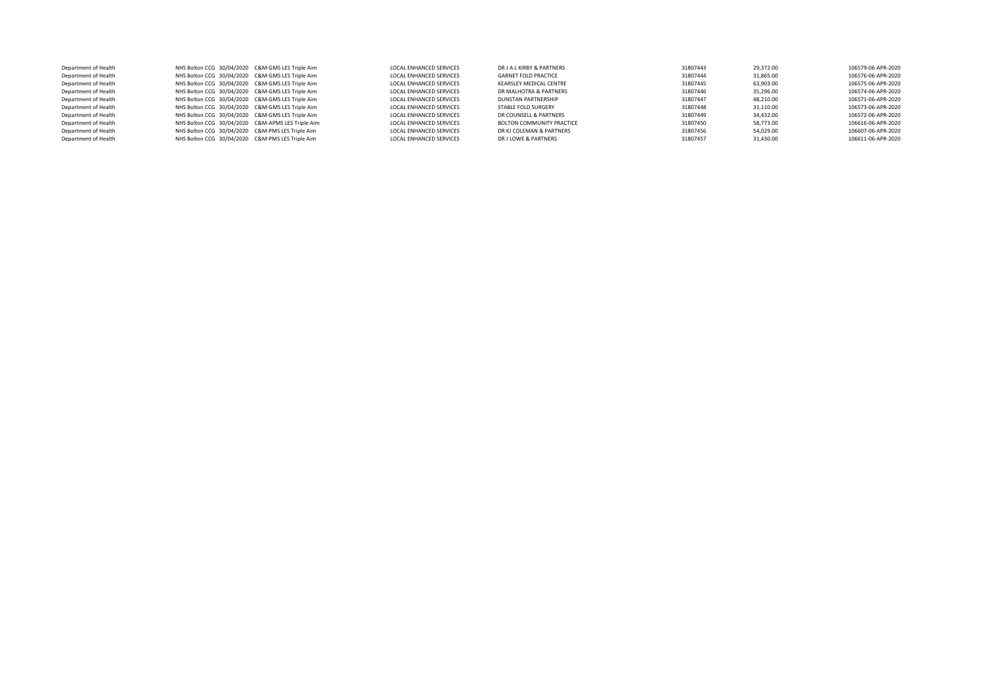| Department of Health | NHS Bolton CCG 30/04/2020 C&M-GMS LES Triple Aim  | <b>LOCAL ENHANCED SERVICES</b> | DR J A L KIRBY & PARTNERS   | 31807443 | 29.372.00 | 106579-06-APR-2020 |
|----------------------|---------------------------------------------------|--------------------------------|-----------------------------|----------|-----------|--------------------|
| Department of Health | NHS Bolton CCG 30/04/2020 C&M-GMS LES Triple Aim  | <b>LOCAL ENHANCED SERVICES</b> | <b>GARNET FOLD PRACTICE</b> | 31807444 | 31,865.00 | 106576-06-APR-2020 |
| Department of Health | NHS Bolton CCG 30/04/2020 C&M-GMS LES Triple Aim  | <b>LOCAL ENHANCED SERVICES</b> | KEARSLEY MEDICAL CENTRE     | 31807445 | 63.903.00 | 106575-06-APR-2020 |
| Department of Health | NHS Bolton CCG 30/04/2020 C&M-GMS LES Triple Aim  | <b>LOCAL ENHANCED SERVICES</b> | DR MALHOTRA & PARTNERS      | 31807446 | 35.296.00 | 106574-06-APR-2020 |
| Department of Health | NHS Bolton CCG 30/04/2020 C&M-GMS LES Triple Aim  | <b>LOCAL ENHANCED SERVICES</b> | DUNSTAN PARTNERSHIP         | 31807447 | 48.210.00 | 106571-06-APR-2020 |
| Department of Health | NHS Bolton CCG 30/04/2020 C&M-GMS LES Triple Aim  | <b>LOCAL ENHANCED SERVICES</b> | STABLE FOLD SURGERY         | 31807448 | 31.110.00 | 106573-06-APR-2020 |
| Department of Health | NHS Bolton CCG 30/04/2020 C&M-GMS LES Triple Aim  | <b>LOCAL ENHANCED SERVICES</b> | DR COUNSELL & PARTNERS      | 31807449 | 34.432.00 | 106572-06-APR-2020 |
| Department of Health | NHS Bolton CCG 30/04/2020 C&M-APMS LES Triple Aim | <b>LOCAL ENHANCED SERVICES</b> | BOLTON COMMUNITY PRACTICE   | 31807450 | 58.773.00 | 106616-06-APR-2020 |
| Department of Health | NHS Bolton CCG 30/04/2020 C&M-PMS LES Triple Aim  | <b>LOCAL ENHANCED SERVICES</b> | DR KJ COLEMAN & PARTNERS    | 31807456 | 54.029.00 | 106607-06-APR-2020 |
| Department of Health | NHS Bolton CCG 30/04/2020 C&M-PMS LES Triple Aim  | LOCAL ENHANCED SERVICES        | DR J LOWE & PARTNERS        | 31807457 | 31.430.00 | 106611-06-APR-2020 |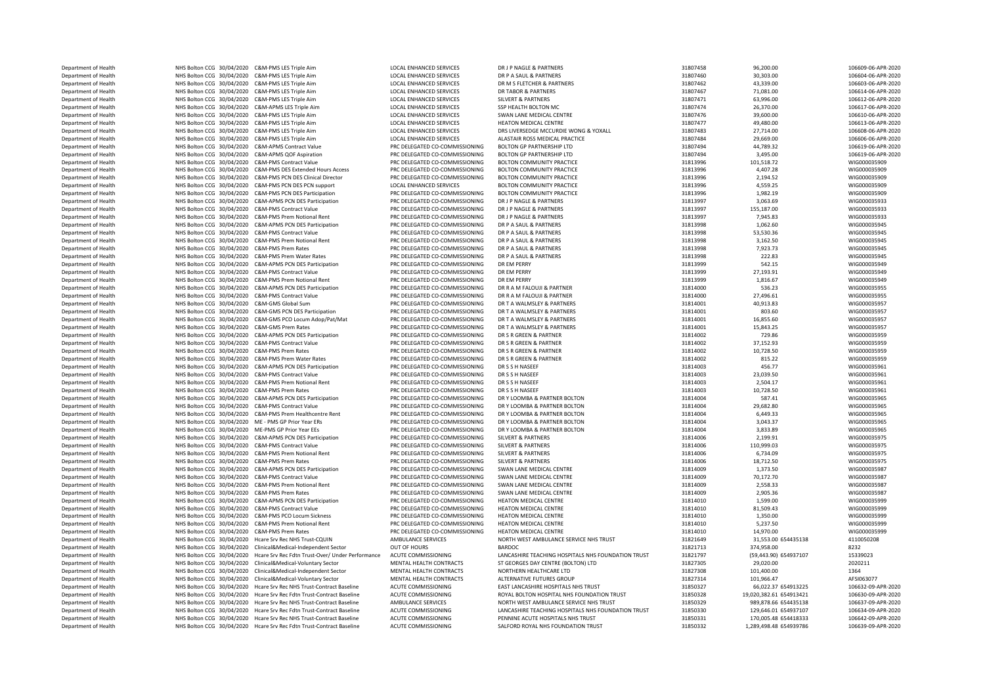| Department of Health | NHS Bolton CCG 30/04/2020 C&M-PMS LES Triple Aim     |                                                                            | LOCAL ENHANCED SERVICES        | DR J P NAGLE & PARTNERS                            | 31807458 | 96,200.00               | 106609-06-APR-2020 |
|----------------------|------------------------------------------------------|----------------------------------------------------------------------------|--------------------------------|----------------------------------------------------|----------|-------------------------|--------------------|
| Department of Health | NHS Bolton CCG 30/04/2020 C&M-PMS LES Triple Aim     |                                                                            | LOCAL ENHANCED SERVICES        | DR P A SAUL & PARTNERS                             | 31807460 | 30,303.00               | 106604-06-APR-2020 |
| Department of Health | NHS Bolton CCG 30/04/2020 C&M-PMS LES Triple Aim     |                                                                            | LOCAL ENHANCED SERVICES        | DR M S FLETCHER & PARTNERS                         | 31807462 | 43,339.00               | 106603-06-APR-2020 |
| Department of Health | NHS Bolton CCG 30/04/2020 C&M-PMS LES Triple Aim     |                                                                            | LOCAL ENHANCED SERVICES        | DR TABOR & PARTNERS                                | 31807467 | 71,081.00               | 106614-06-APR-2020 |
| Department of Health | NHS Bolton CCG 30/04/2020 C&M-PMS LES Triple Aim     |                                                                            | LOCAL ENHANCED SERVICES        | <b>SILVERT &amp; PARTNERS</b>                      | 31807471 | 63,996.00               | 106612-06-APR-2020 |
| Department of Health | NHS Bolton CCG 30/04/2020 C&M-APMS LES Triple Aim    |                                                                            | LOCAL ENHANCED SERVICES        | SSP HEALTH BOLTON MC                               | 31807474 | 26,370.00               | 106617-06-APR-2020 |
|                      |                                                      |                                                                            |                                |                                                    |          |                         |                    |
| Department of Health | NHS Bolton CCG 30/04/2020 C&M-PMS LES Triple Aim     |                                                                            | LOCAL ENHANCED SERVICES        | SWAN LANE MEDICAL CENTRE                           | 31807476 | 39,600.00               | 106610-06-APR-2020 |
| Department of Health | NHS Bolton CCG 30/04/2020 C&M-PMS LES Triple Aim     |                                                                            | LOCAL ENHANCED SERVICES        | HEATON MEDICAL CENTRE                              | 31807477 | 49,480.00               | 106613-06-APR-2020 |
| Department of Health | NHS Bolton CCG 30/04/2020 C&M-PMS LES Triple Aim     |                                                                            | LOCAL ENHANCED SERVICES        | DRS LIVERSEDGE MCCURDIE WONG & YOXALL              | 31807483 | 27,714.00               | 106608-06-APR-2020 |
| Department of Health | NHS Bolton CCG 30/04/2020 C&M-PMS LES Triple Aim     |                                                                            | LOCAL ENHANCED SERVICES        | ALASTAIR ROSS MEDICAL PRACTICE                     | 31807484 | 29,669.00               | 106606-06-APR-2020 |
| Department of Health | NHS Bolton CCG 30/04/2020 C&M-APMS Contract Value    |                                                                            | PRC DELEGATED CO-COMMISSIONING | BOLTON GP PARTNERSHIP LTD                          | 31807494 | 44,789.32               | 106619-06-APR-2020 |
| Department of Health | NHS Bolton CCG 30/04/2020 C&M-APMS QOF Aspiration    |                                                                            | PRC DELEGATED CO-COMMISSIONING | <b>BOLTON GP PARTNERSHIP LTD</b>                   | 31807494 | 3,495.00                | 106619-06-APR-2020 |
| Department of Health | NHS Bolton CCG 30/04/2020 C&M-PMS Contract Value     |                                                                            | PRC DELEGATED CO-COMMISSIONING | <b>BOLTON COMMUNITY PRACTICE</b>                   | 31813996 | 101,518.72              | WIG000035909       |
|                      |                                                      |                                                                            |                                |                                                    |          |                         |                    |
| Department of Health |                                                      | NHS Bolton CCG 30/04/2020 C&M-PMS DES Extended Hours Access                | PRC DELEGATED CO-COMMISSIONING | BOLTON COMMUNITY PRACTICE                          | 31813996 | 4,407.28                | WIG000035909       |
| Department of Health |                                                      | NHS Bolton CCG 30/04/2020 C&M-PMS PCN DES Clinical Director                | PRC DELEGATED CO-COMMISSIONING | <b>BOLTON COMMUNITY PRACTICE</b>                   | 31813996 | 2,194.52                | WIG000035909       |
| Department of Health |                                                      | NHS Bolton CCG 30/04/2020 C&M-PMS PCN DES PCN support                      | LOCAL ENHANCED SERVICES        | <b>BOLTON COMMUNITY PRACTICE</b>                   | 31813996 | 4,559.25                | WIG000035909       |
| Department of Health |                                                      | NHS Bolton CCG 30/04/2020 C&M-PMS PCN DES Participation                    | PRC DELEGATED CO-COMMISSIONING | <b>BOLTON COMMUNITY PRACTICE</b>                   | 31813996 | 1,982.19                | WIG000035909       |
| Department of Health |                                                      | NHS Bolton CCG 30/04/2020 C&M-APMS PCN DES Participation                   | PRC DELEGATED CO-COMMISSIONING | DR J P NAGLE & PARTNERS                            | 31813997 | 3,063.69                | WIG000035933       |
| Department of Health | NHS Bolton CCG 30/04/2020 C&M-PMS Contract Value     |                                                                            | PRC DELEGATED CO-COMMISSIONING | DR J P NAGLE & PARTNERS                            | 31813997 | 155,187.00              | WIG000035933       |
| Department of Health |                                                      | NHS Bolton CCG 30/04/2020 C&M-PMS Prem Notional Rent                       | PRC DELEGATED CO-COMMISSIONING | DR J P NAGLE & PARTNERS                            | 31813997 | 7,945.83                | WIG000035933       |
|                      |                                                      |                                                                            |                                |                                                    |          |                         |                    |
| Department of Health |                                                      | NHS Bolton CCG 30/04/2020 C&M-APMS PCN DES Participation                   | PRC DELEGATED CO-COMMISSIONING | DR P A SAUL & PARTNERS                             | 31813998 | 1,062.60                | WIG000035945       |
| Department of Health | NHS Bolton CCG 30/04/2020 C&M-PMS Contract Value     |                                                                            | PRC DELEGATED CO-COMMISSIONING | DR P A SAUL & PARTNERS                             | 31813998 | 53,530.36               | WIG000035945       |
| Department of Health |                                                      | NHS Bolton CCG 30/04/2020 C&M-PMS Prem Notional Rent                       | PRC DELEGATED CO-COMMISSIONING | DR P A SAUL & PARTNERS                             | 31813998 | 3,162.50                | WIG000035945       |
| Department of Health | NHS Bolton CCG 30/04/2020 C&M-PMS Prem Rates         |                                                                            | PRC DELEGATED CO-COMMISSIONING | DR P A SAUL & PARTNERS                             | 31813998 | 7,923.73                | WIG000035945       |
| Department of Health | NHS Bolton CCG 30/04/2020 C&M-PMS Prem Water Rates   |                                                                            | PRC DELEGATED CO-COMMISSIONING | DR P A SAUL & PARTNERS                             | 31813998 | 222.83                  | WIG000035945       |
| Department of Health |                                                      | NHS Bolton CCG 30/04/2020 C&M-APMS PCN DES Participation                   | PRC DELEGATED CO-COMMISSIONING | DR EM PERRY                                        | 31813999 | 542.15                  | WIG000035949       |
| Department of Health | NHS Bolton CCG 30/04/2020 C&M-PMS Contract Value     |                                                                            | PRC DELEGATED CO-COMMISSIONING | DR EM PERRY                                        | 31813999 | 27,193.91               | WIG000035949       |
|                      |                                                      |                                                                            |                                |                                                    |          |                         |                    |
| Department of Health |                                                      | NHS Bolton CCG 30/04/2020 C&M-PMS Prem Notional Rent                       | PRC DELEGATED CO-COMMISSIONING | DR FM PFRRY                                        | 31813999 | 1,816.67                | WIG000035949       |
| Department of Health |                                                      | NHS Bolton CCG 30/04/2020 C&M-APMS PCN DES Participation                   | PRC DELEGATED CO-COMMISSIONING | DR R A M FALOUJI & PARTNER                         | 31814000 | 536.23                  | WIG000035955       |
| Department of Health | NHS Bolton CCG 30/04/2020 C&M-PMS Contract Value     |                                                                            | PRC DELEGATED CO-COMMISSIONING | DR R A M FALOUJI & PARTNER                         | 31814000 | 27,496.61               | WIG000035955       |
| Department of Health | NHS Bolton CCG 30/04/2020 C&M-GMS Global Sum         |                                                                            | PRC DELEGATED CO-COMMISSIONING | DR T A WALMSLEY & PARTNERS                         | 31814001 | 40,913.83               | WIG000035957       |
| Department of Health |                                                      | NHS Bolton CCG 30/04/2020 C&M-GMS PCN DES Participation                    | PRC DELEGATED CO-COMMISSIONING | DR T A WALMSLEY & PARTNERS                         | 31814001 | 803.60                  | WIG000035957       |
| Department of Health |                                                      | NHS Bolton CCG 30/04/2020 C&M-GMS PCO Locum Adop/Pat/Mat                   | PRC DELEGATED CO-COMMISSIONING | DR T A WALMSLEY & PARTNERS                         | 31814001 | 16,855.60               | WIG000035957       |
|                      |                                                      |                                                                            |                                |                                                    |          |                         |                    |
| Department of Health | NHS Bolton CCG 30/04/2020 C&M-GMS Prem Rates         |                                                                            | PRC DELEGATED CO-COMMISSIONING | DR T A WALMSLEY & PARTNERS                         | 31814001 | 15,843.25               | WIG000035957       |
| Department of Health |                                                      | NHS Bolton CCG 30/04/2020 C&M-APMS PCN DES Participation                   | PRC DELEGATED CO-COMMISSIONING | DR S R GREEN & PARTNER                             | 31814002 | 729.86                  | WIG000035959       |
| Department of Health | NHS Bolton CCG 30/04/2020 C&M-PMS Contract Value     |                                                                            | PRC DELEGATED CO-COMMISSIONING | DR S R GREEN & PARTNER                             | 31814002 | 37,152.93               | WIG000035959       |
| Department of Health | NHS Bolton CCG 30/04/2020 C&M-PMS Prem Rates         |                                                                            | PRC DELEGATED CO-COMMISSIONING | DR S R GREEN & PARTNER                             | 31814002 | 10,728.50               | WIG000035959       |
| Department of Health | NHS Bolton CCG 30/04/2020 C&M-PMS Prem Water Rates   |                                                                            | PRC DELEGATED CO-COMMISSIONING | DR S R GREEN & PARTNER                             | 31814002 | 815.22                  | WIG000035959       |
| Department of Health |                                                      | NHS Bolton CCG 30/04/2020 C&M-APMS PCN DES Participation                   | PRC DELEGATED CO-COMMISSIONING | DR S S H NASEEF                                    | 31814003 | 456.77                  | WIG000035961       |
| Department of Health | NHS Bolton CCG 30/04/2020 C&M-PMS Contract Value     |                                                                            | PRC DELEGATED CO-COMMISSIONING | DR S S H NASEEF                                    | 31814003 | 23.039.50               | WIG000035961       |
|                      |                                                      |                                                                            |                                |                                                    |          |                         |                    |
| Department of Health |                                                      | NHS Bolton CCG 30/04/2020 C&M-PMS Prem Notional Rent                       | PRC DELEGATED CO-COMMISSIONING | DR S S H NASEEF                                    | 31814003 | 2,504.17                | WIG000035961       |
| Department of Health | NHS Bolton CCG 30/04/2020 C&M-PMS Prem Rates         |                                                                            | PRC DELEGATED CO-COMMISSIONING | DR S S H NASEEF                                    | 31814003 | 10,728.50               | WIG000035961       |
| Department of Health |                                                      | NHS Bolton CCG 30/04/2020 C&M-APMS PCN DES Participation                   | PRC DELEGATED CO-COMMISSIONING | DR Y LOOMBA & PARTNER BOLTON                       | 31814004 | 587.41                  | WIG000035965       |
| Department of Health | NHS Bolton CCG 30/04/2020 C&M-PMS Contract Value     |                                                                            | PRC DELEGATED CO-COMMISSIONING | DR Y LOOMBA & PARTNER BOLTON                       | 31814004 | 29,682.80               | WIG000035965       |
| Department of Health |                                                      | NHS Bolton CCG 30/04/2020 C&M-PMS Prem Healthcentre Rent                   | PRC DELEGATED CO-COMMISSIONING | DR Y LOOMBA & PARTNER BOLTON                       | 31814004 | 6,449.33                | WIG000035965       |
| Department of Health | NHS Bolton CCG 30/04/2020 ME - PMS GP Prior Year ERs |                                                                            | PRC DELEGATED CO-COMMISSIONING | DR Y LOOMBA & PARTNER BOLTON                       | 31814004 | 3,043.37                | WIG000035965       |
|                      | NHS Bolton CCG 30/04/2020 ME-PMS GP Prior Year EEs   |                                                                            | PRC DELEGATED CO-COMMISSIONING | DR Y LOOMBA & PARTNER BOLTON                       |          |                         |                    |
| Department of Health |                                                      |                                                                            |                                |                                                    | 31814004 | 3,833.89                | WIG000035965       |
| Department of Health |                                                      | NHS Bolton CCG 30/04/2020 C&M-APMS PCN DES Participation                   | PRC DELEGATED CO-COMMISSIONING | SILVERT & PARTNERS                                 | 31814006 | 2,199.91                | WIG000035975       |
| Department of Health | NHS Bolton CCG 30/04/2020 C&M-PMS Contract Value     |                                                                            | PRC DELEGATED CO-COMMISSIONING | <b>SILVERT &amp; PARTNERS</b>                      | 31814006 | 110,999.03              | WIG000035975       |
| Department of Health |                                                      | NHS Bolton CCG 30/04/2020 C&M-PMS Prem Notional Rent                       | PRC DELEGATED CO-COMMISSIONING | <b>SILVERT &amp; PARTNERS</b>                      | 31814006 | 6,734.09                | WIG000035975       |
| Department of Health | NHS Bolton CCG 30/04/2020 C&M-PMS Prem Rates         |                                                                            | PRC DELEGATED CO-COMMISSIONING | <b>SILVERT &amp; PARTNERS</b>                      | 31814006 | 18,712.50               | WIG000035975       |
| Department of Health |                                                      | NHS Bolton CCG 30/04/2020 C&M-APMS PCN DES Participation                   | PRC DELEGATED CO-COMMISSIONING | SWAN LANE MEDICAL CENTRE                           | 31814009 | 1,373.50                | WIG000035987       |
| Department of Health | NHS Bolton CCG 30/04/2020 C&M-PMS Contract Value     |                                                                            | PRC DELEGATED CO-COMMISSIONING | SWAN LANE MEDICAL CENTRE                           | 31814009 | 70,172.70               | WIG000035987       |
|                      |                                                      |                                                                            |                                |                                                    |          |                         |                    |
| Department of Health |                                                      | NHS Bolton CCG 30/04/2020 C&M-PMS Prem Notional Rent                       | PRC DELEGATED CO-COMMISSIONING | SWAN LANE MEDICAL CENTRE                           | 31814009 | 2,558.33                | WIG000035987       |
| Department of Health | NHS Bolton CCG 30/04/2020 C&M-PMS Prem Rates         |                                                                            | PRC DELEGATED CO-COMMISSIONING | SWAN LANE MEDICAL CENTRE                           | 31814009 | 2,905.36                | WIG000035987       |
| Department of Health |                                                      | NHS Bolton CCG 30/04/2020 C&M-APMS PCN DES Participation                   | PRC DELEGATED CO-COMMISSIONING | HEATON MEDICAL CENTRE                              | 31814010 | 1,599.00                | WIG000035999       |
| Department of Health | NHS Bolton CCG 30/04/2020 C&M-PMS Contract Value     |                                                                            | PRC DELEGATED CO-COMMISSIONING | HEATON MEDICAL CENTRE                              | 31814010 | 81,509.43               | WIG000035999       |
| Department of Health |                                                      | NHS Bolton CCG 30/04/2020 C&M-PMS PCO Locum Sickness                       | PRC DELEGATED CO-COMMISSIONING | HEATON MEDICAL CENTRE                              | 31814010 | 1,350.00                | WIG000035999       |
| Department of Health |                                                      | NHS Bolton CCG 30/04/2020 C&M-PMS Prem Notional Rent                       | PRC DELEGATED CO-COMMISSIONING | <b>HEATON MEDICAL CENTRE</b>                       | 31814010 | 5,237.50                | WIG000035999       |
| Department of Health | NHS Bolton CCG 30/04/2020 C&M-PMS Prem Rates         |                                                                            | PRC DELEGATED CO-COMMISSIONING | <b>HEATON MEDICAL CENTRE</b>                       | 31814010 | 14,970.00               | WIG000035999       |
|                      |                                                      |                                                                            |                                |                                                    |          |                         |                    |
| Department of Health |                                                      | NHS Bolton CCG 30/04/2020 Hcare Srv Rec NHS Trust-CQUIN                    | AMBULANCE SERVICES             | NORTH WEST AMBULANCE SERVICE NHS TRUST             | 31821649 | 31,553.00 654435138     | 4110050208         |
| Department of Health |                                                      | NHS Bolton CCG 30/04/2020 Clinical&Medical-Independent Sector              | OUT OF HOURS                   | BARDOC                                             | 31821713 | 374,958.00              | 8232               |
| Department of Health |                                                      | NHS Bolton CCG 30/04/2020 Hcare Srv Rec Fdtn Trust-Over/ Under Performance | ACUTE COMMISSIONING            | LANCASHIRE TEACHING HOSPITALS NHS FOUNDATION TRUST | 31821797 | (59,443.90) 654937107   | 15339023           |
| Department of Health |                                                      | NHS Bolton CCG 30/04/2020 Clinical&Medical-Voluntary Sector                | MENTAL HEALTH CONTRACTS        | ST GEORGES DAY CENTRE (BOLTON) LTD                 | 31827305 | 29.020.00               | 2020211            |
| Department of Health |                                                      | NHS Bolton CCG 30/04/2020 Clinical&Medical-Independent Sector              | MENTAL HEALTH CONTRACTS        | NORTHERN HEALTHCARE LTD                            | 31827308 | 101,400.00              | 1364               |
| Department of Health |                                                      | NHS Bolton CCG 30/04/2020 Clinical&Medical-Voluntary Sector                | MENTAL HEALTH CONTRACTS        | <b>ALTERNATIVE FUTURES GROUP</b>                   | 31827314 | 101,966.47              | AFSI063077         |
| Department of Health |                                                      | NHS Bolton CCG 30/04/2020 Hcare Srv Rec NHS Trust-Contract Baseline        | ACUTE COMMISSIONING            | EAST LANCASHIRE HOSPITALS NHS TRUST                | 31850327 | 66,022.37 654913225     | 106632-09-APR-2020 |
|                      |                                                      |                                                                            |                                |                                                    |          |                         |                    |
| Department of Health |                                                      | NHS Bolton CCG 30/04/2020 Hcare Srv Rec Fdtn Trust-Contract Baseline       | ACUTE COMMISSIONING            | ROYAL BOLTON HOSPITAL NHS FOUNDATION TRUST         | 31850328 | 19,020,382.61 654913421 | 106630-09-APR-2020 |
| Department of Health |                                                      | NHS Bolton CCG 30/04/2020 Hcare Srv Rec NHS Trust-Contract Baseline        | AMBULANCE SERVICES             | NORTH WEST AMBULANCE SERVICE NHS TRUST             | 31850329 | 989,878.66 654435138    | 106637-09-APR-2020 |
| Department of Health |                                                      | NHS Bolton CCG 30/04/2020 Hcare Srv Rec Fdtn Trust-Contract Baseline       | ACUTE COMMISSIONING            | LANCASHIRE TEACHING HOSPITALS NHS FOUNDATION TRUST | 31850330 | 129,646.01 654937107    | 106634-09-APR-2020 |
|                      |                                                      |                                                                            |                                |                                                    |          |                         |                    |
| Department of Health |                                                      | NHS Bolton CCG 30/04/2020 Hcare Srv Rec NHS Trust-Contract Baseline        | ACUTE COMMISSIONING            | PENNINE ACUTE HOSPITALS NHS TRUST                  | 31850331 | 170,005.48 654418333    | 106642-09-APR-2020 |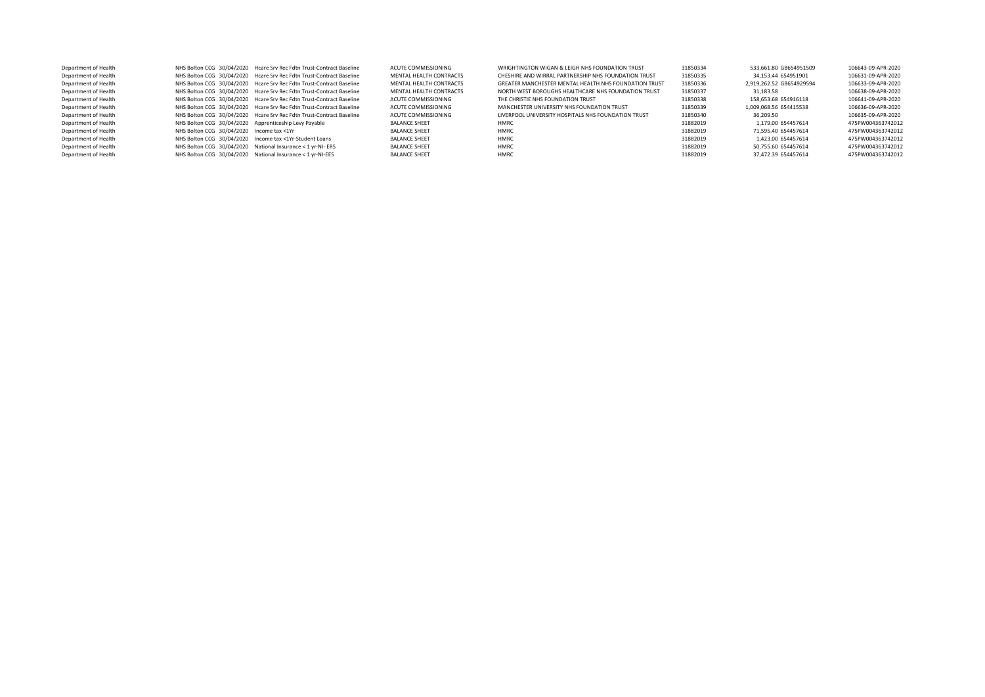| Department of Health |                                                       | NHS Bolton CCG 30/04/2020 Hcare Srv Rec Fdtn Trust-Contract Baseline | ACUTE COMMISSIONING     | WRIGHTINGTON WIGAN & LEIGH NHS FOUNDATION TRUST       | 31850334 | 533.661.80 GB654951509   | 106643-09-APR-2020 |
|----------------------|-------------------------------------------------------|----------------------------------------------------------------------|-------------------------|-------------------------------------------------------|----------|--------------------------|--------------------|
| Department of Health |                                                       | NHS Bolton CCG 30/04/2020 Hcare Srv Rec Fdtn Trust-Contract Baseline | MENTAL HEALTH CONTRACTS | CHESHIRE AND WIRRAL PARTNERSHIP NHS FOUNDATION TRUST  | 31850335 | 34.153.44 654951901      | 106631-09-APR-2020 |
| Department of Health |                                                       | NHS Bolton CCG 30/04/2020 Hcare Srv Rec Fdtn Trust-Contract Baseline | MENTAL HEALTH CONTRACTS | GREATER MANCHESTER MENTAL HEALTH NHS FOUNDATION TRUST | 31850336 | 2.919.262.52 GB654929594 | 106633-09-APR-2020 |
| Department of Health |                                                       | NHS Bolton CCG 30/04/2020 Hcare Srv Rec Fdtn Trust-Contract Baseline | MENTAL HEALTH CONTRACTS | NORTH WEST BOROUGHS HEALTHCARE NHS FOUNDATION TRUST   | 31850337 | 31.183.58                | 106638-09-APR-2020 |
| Department of Health |                                                       | NHS Bolton CCG 30/04/2020 Hcare Srv Rec Fdtn Trust-Contract Baseline | ACUTE COMMISSIONING     | THE CHRISTIE NHS FOUNDATION TRUST                     | 31850338 | 158.653.68 654916118     | 106641-09-APR-2020 |
| Department of Health |                                                       | NHS Bolton CCG 30/04/2020 Hcare Srv Rec Fdtn Trust-Contract Baseline | ACUTE COMMISSIONING     | MANCHESTER UNIVERSITY NHS FOUNDATION TRUST            | 31850339 | 1.009.068.56 654415538   | 106636-09-APR-2020 |
| Department of Health |                                                       | NHS Bolton CCG 30/04/2020 Hcare Srv Rec Fdtn Trust-Contract Baseline | ACUTE COMMISSIONING     | LIVERPOOL UNIVERSITY HOSPITALS NHS FOUNDATION TRUST   | 31850340 | 36.209.50                | 106635-09-APR-2020 |
| Department of Health | NHS Bolton CCG 30/04/2020 Apprenticeship Levy Payable |                                                                      | <b>BALANCE SHEET</b>    | HMRC                                                  | 31882019 | 1.179.00 654457614       | 475PW004363742012  |
| Department of Health | NHS Bolton CCG 30/04/2020 Income tax <1Yr             |                                                                      | <b>BALANCE SHEET</b>    | <b>HMRC</b>                                           | 31882019 | 71.595.40 654457614      | 475PW004363742012  |
| Department of Health |                                                       | NHS Bolton CCG 30/04/2020 Income tax <1Yr-Student Loans              | <b>BALANCE SHEET</b>    | HMRC                                                  | 31882019 | 1.423.00 654457614       | 475PW004363742012  |
| Department of Health |                                                       | NHS Bolton CCG 30/04/2020 National Insurance < 1 yr-NI- ERS          | <b>BALANCE SHEET</b>    | HMRC                                                  | 31882019 | 50.755.60 654457614      | 475PW004363742012  |
| Department of Health |                                                       | NHS Bolton CCG 30/04/2020 National Insurance < 1 yr-NI-EES           | <b>BALANCE SHEET</b>    | <b>HMRC</b>                                           | 31882019 | 37.472.39 654457614      | 475PW004363742012  |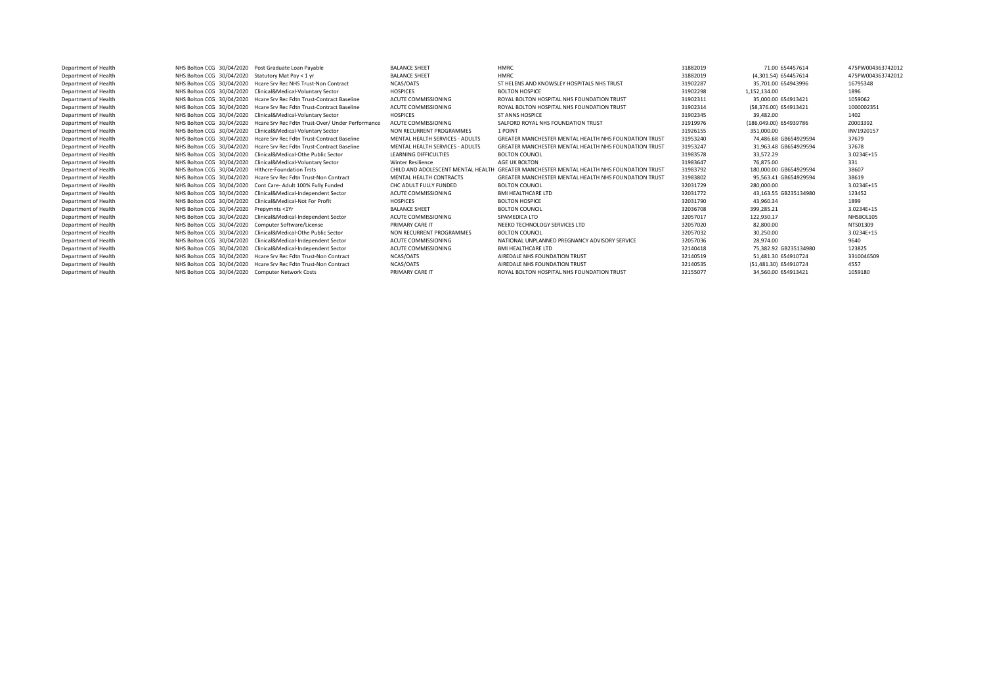| Department of Health | NHS Bolton CCG 30/04/2020 Post Graduate Loan Pavable                       | <b>BALANCE SHEET</b>            | <b>HMRC</b>                                                                              | 31882019 | 71.00 654457614        | 475PW004363742012 |
|----------------------|----------------------------------------------------------------------------|---------------------------------|------------------------------------------------------------------------------------------|----------|------------------------|-------------------|
| Department of Health | NHS Bolton CCG 30/04/2020 Statutory Mat Pay < 1 yr                         | <b>BALANCE SHEET</b>            | <b>HMRC</b>                                                                              | 31882019 | (4.301.54) 654457614   | 475PW004363742012 |
| Department of Health | NHS Bolton CCG 30/04/2020 Hcare Srv Rec NHS Trust-Non Contract             | NCAS/OATS                       | ST HELENS AND KNOWSLEY HOSPITALS NHS TRUST                                               | 31902287 | 35.701.00 654943996    | 16795348          |
| Department of Health | NHS Bolton CCG 30/04/2020 Clinical&Medical-Voluntary Sector                | <b>HOSPICES</b>                 | <b>BOLTON HOSPICE</b>                                                                    | 31902298 | 1.152.134.00           | 1896              |
| Department of Health | NHS Bolton CCG 30/04/2020 Hcare Sry Rec Fdtn Trust-Contract Baseline       | ACUTE COMMISSIONING             | ROYAL BOLTON HOSPITAL NHS FOUNDATION TRUST                                               | 31902311 | 35.000.00 654913421    | 1059062           |
| Department of Health | NHS Bolton CCG 30/04/2020 Hcare Srv Rec Fdtn Trust-Contract Baseline       | ACUTE COMMISSIONING             | ROYAL BOLTON HOSPITAL NHS FOUNDATION TRUST                                               | 31902314 | (58.376.00) 654913421  | 1000002351        |
| Department of Health | NHS Bolton CCG 30/04/2020 Clinical&Medical-Voluntary Sector                | <b>HOSPICES</b>                 | <b>ST ANNS HOSPICE</b>                                                                   | 31902345 | 39.482.00              | 1402              |
| Department of Health | NHS Bolton CCG 30/04/2020 Hcare Srv Rec Fdtn Trust-Over/ Under Performance | ACUTE COMMISSIONING             | SALFORD ROYAL NHS FOUNDATION TRUST                                                       | 31919976 | (186.049.00) 654939786 | Z0003392          |
| Department of Health | NHS Bolton CCG 30/04/2020 Clinical&Medical-Voluntary Sector                | NON RECURRENT PROGRAMMES        | 1 POINT                                                                                  | 31926155 | 351.000.00             | INV1920157        |
| Department of Health | NHS Bolton CCG 30/04/2020 Hcare Srv Rec Fdtn Trust-Contract Baseline       | MENTAL HEALTH SERVICES - ADULTS | GREATER MANCHESTER MENTAL HEALTH NHS FOUNDATION TRUST                                    | 31953240 | 74.486.68 GB654929594  | 37679             |
| Department of Health | NHS Bolton CCG 30/04/2020 Hcare Sry Rec Fdtn Trust-Contract Baseline       | MENTAL HEALTH SERVICES - ADULTS | <b>GREATER MANCHESTER MENTAL HEALTH NHS FOUNDATION TRUST</b>                             | 31953247 | 31.963.48 GB654929594  | 37678             |
| Department of Health | NHS Bolton CCG 30/04/2020 Clinical&Medical-Othe Public Sector              | LEARNING DIFFICULTIES           | <b>BOLTON COUNCIL</b>                                                                    | 31983578 | 33.572.29              | 3.0234E+15        |
| Department of Health | NHS Bolton CCG 30/04/2020 Clinical&Medical-Voluntary Sector                | <b>Winter Resilience</b>        | AGE UK BOLTON                                                                            | 31983647 | 76.875.00              | 331               |
| Department of Health | NHS Bolton CCG 30/04/2020 Hithcre-Foundation Trsts                         |                                 | CHILD AND ADOLESCENT MENTAL HEALTH GREATER MANCHESTER MENTAL HEALTH NHS FOUNDATION TRUST | 31983792 | 180,000,00 GB654929594 | 38607             |
| Department of Health | NHS Bolton CCG 30/04/2020 Hcare Srv Rec Fdtn Trust-Non Contract            | MENTAL HEALTH CONTRACTS         | GREATER MANCHESTER MENTAL HEALTH NHS FOUNDATION TRUST                                    | 31983802 | 95.563.41 GB654929594  | 38619             |
| Department of Health | NHS Bolton CCG 30/04/2020 Cont Care- Adult 100% Fully Funded               | CHC ADULT FULLY FUNDED          | <b>BOLTON COUNCIL</b>                                                                    | 32031729 | 280.000.00             | 3.0234E+15        |
| Department of Health | NHS Bolton CCG 30/04/2020 Clinical&Medical-Independent Sector              | ACUTE COMMISSIONING             | <b>BMI HEALTHCARE LTD</b>                                                                | 32031772 | 43.163.55 GB235134980  | 123452            |
| Department of Health | NHS Bolton CCG 30/04/2020 Clinical&Medical-Not For Profit                  | <b>HOSPICES</b>                 | <b>BOLTON HOSPICE</b>                                                                    | 32031790 | 43.960.34              | 1899              |
| Department of Health | NHS Bolton CCG 30/04/2020 Prepymnts <1Yr                                   | <b>BALANCE SHEET</b>            | <b>BOLTON COUNCIL</b>                                                                    | 32036708 | 399,285.21             | 3.0234E+15        |
| Department of Health | NHS Bolton CCG 30/04/2020 Clinical&Medical-Independent Sector              | ACUTE COMMISSIONING             | SPAMEDICA LTD                                                                            | 32057017 | 122,930.17             | NHSBOL105         |
| Department of Health | NHS Bolton CCG 30/04/2020 Computer Software/License                        | PRIMARY CARE IT                 | NEEKO TECHNOLOGY SERVICES LTD                                                            | 32057020 | 82.800.00              | NTS01309          |
| Department of Health | NHS Bolton CCG 30/04/2020 Clinical&Medical-Othe Public Sector              | NON RECURRENT PROGRAMMES        | <b>BOLTON COUNCIL</b>                                                                    | 32057032 | 30.250.00              | 3.0234E+15        |
| Department of Health | NHS Bolton CCG 30/04/2020 Clinical&Medical-Independent Sector              | ACUTE COMMISSIONING             | NATIONAL UNPLANNED PREGNANCY ADVISORY SERVICE                                            | 32057036 | 28.974.00              | 9640              |
| Department of Health | NHS Bolton CCG 30/04/2020 Clinical&Medical-Independent Sector              | ACUTE COMMISSIONING             | <b>BMI HEALTHCARE LTD</b>                                                                | 32140418 | 75.382.92 GB235134980  | 123825            |
| Department of Health | NHS Bolton CCG 30/04/2020 Hcare Srv Rec Fdtn Trust-Non Contract            | NCAS/OATS                       | AIREDALE NHS FOUNDATION TRUST                                                            | 32140519 | 51.481.30 654910724    | 3310046509        |
| Department of Health | NHS Bolton CCG 30/04/2020 Hcare Srv Rec Fdtn Trust-Non Contract            | NCAS/OATS                       | AIREDALE NHS FOUNDATION TRUST                                                            | 32140535 | (51,481.30) 654910724  | 4557              |
| Department of Health | NHS Bolton CCG 30/04/2020 Computer Network Costs                           | PRIMARY CARE IT                 | ROYAL BOLTON HOSPITAL NHS FOUNDATION TRUST                                               | 32155077 | 34.560.00 654913421    | 1059180           |
|                      |                                                                            |                                 |                                                                                          |          |                        |                   |